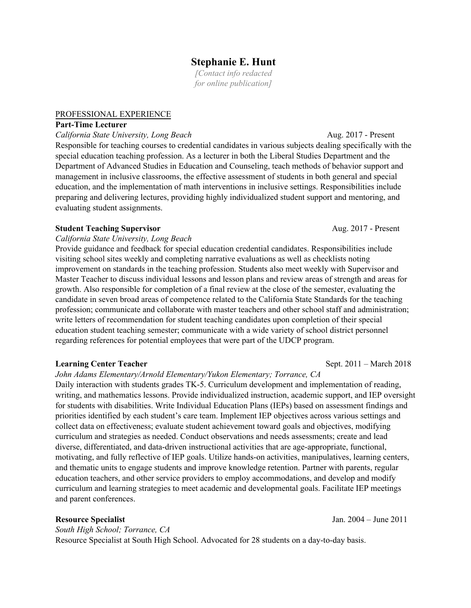# **Stephanie E. Hunt**

*[Contact info redacted for online publication]*

#### PROFESSIONAL EXPERIENCE

## **Part-Time Lecturer**

California State University, Long Beach **Aug. 2017** - Present Responsible for teaching courses to credential candidates in various subjects dealing specifically with the special education teaching profession. As a lecturer in both the Liberal Studies Department and the Department of Advanced Studies in Education and Counseling, teach methods of behavior support and management in inclusive classrooms, the effective assessment of students in both general and special education, and the implementation of math interventions in inclusive settings. Responsibilities include preparing and delivering lectures, providing highly individualized student support and mentoring, and evaluating student assignments.

### **Student Teaching Supervisor Aug. 2017 - Present**

### *California State University, Long Beach*

Provide guidance and feedback for special education credential candidates. Responsibilities include visiting school sites weekly and completing narrative evaluations as well as checklists noting improvement on standards in the teaching profession. Students also meet weekly with Supervisor and Master Teacher to discuss individual lessons and lesson plans and review areas of strength and areas for growth. Also responsible for completion of a final review at the close of the semester, evaluating the candidate in seven broad areas of competence related to the California State Standards for the teaching profession; communicate and collaborate with master teachers and other school staff and administration; write letters of recommendation for student teaching candidates upon completion of their special education student teaching semester; communicate with a wide variety of school district personnel regarding references for potential employees that were part of the UDCP program.

### **Learning Center Teacher** Sept. 2011 – March 2018

*John Adams Elementary/Arnold Elementary/Yukon Elementary; Torrance, CA*

Daily interaction with students grades TK-5. Curriculum development and implementation of reading, writing, and mathematics lessons. Provide individualized instruction, academic support, and IEP oversight for students with disabilities. Write Individual Education Plans (IEPs) based on assessment findings and priorities identified by each student's care team. Implement IEP objectives across various settings and collect data on effectiveness; evaluate student achievement toward goals and objectives, modifying curriculum and strategies as needed. Conduct observations and needs assessments; create and lead diverse, differentiated, and data-driven instructional activities that are age-appropriate, functional, motivating, and fully reflective of IEP goals. Utilize hands-on activities, manipulatives, learning centers, and thematic units to engage students and improve knowledge retention. Partner with parents, regular education teachers, and other service providers to employ accommodations, and develop and modify curriculum and learning strategies to meet academic and developmental goals. Facilitate IEP meetings and parent conferences.

**Resource Specialist** Jan. 2004 – June 2011

*South High School; Torrance, CA* Resource Specialist at South High School. Advocated for 28 students on a day-to-day basis.